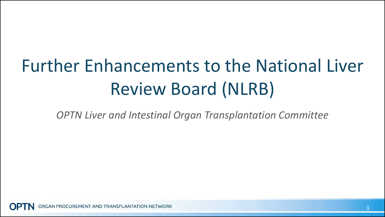# Further Enhancements to the National Liver Review Board (NLRB)

*OPTN Liver and Intestinal Organ Transplantation Committee*

GAN PROCUREMENT AND TRANSPLANTATION NETWORK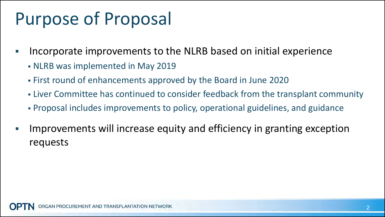# Purpose of Proposal

- Incorporate improvements to the NLRB based on initial experience
	- NLRB was implemented in May 2019
	- First round of enhancements approved by the Board in June 2020
	- Liver Committee has continued to consider feedback from the transplant community
	- Proposal includes improvements to policy, operational guidelines, and guidance
- Improvements will increase equity and efficiency in granting exception requests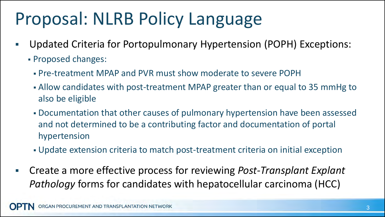# Proposal: NLRB Policy Language

- Updated Criteria for Portopulmonary Hypertension (POPH) Exceptions:
	- Proposed changes:
		- Pre-treatment MPAP and PVR must show moderate to severe POPH
		- Allow candidates with post-treatment MPAP greater than or equal to 35 mmHg to also be eligible
		- Documentation that other causes of pulmonary hypertension have been assessed and not determined to be a contributing factor and documentation of portal hypertension
		- Update extension criteria to match post-treatment criteria on initial exception
- Create a more effective process for reviewing *Post-Transplant Explant Pathology* forms for candidates with hepatocellular carcinoma (HCC)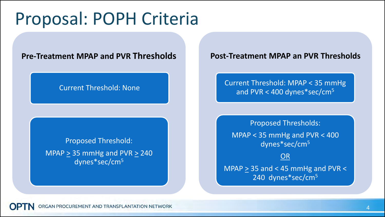#### Proposal: POPH Criteria

#### **Pre-Treatment MPAP and PVR Thresholds**

#### Current Threshold: None

Proposed Threshold: MPAP  $\geq$  35 mmHg and PVR  $\geq$  240 dynes\*sec/cm<sup>5</sup>

#### **Po st-Treatment MPAP an PVR Thresholds**

Current Threshold: MPAP < 35 mmHg and PVR < 400 dynes\*sec/cm<sup>5</sup>

Proposed Thresholds: MPAP < 35 mmHg and PVR < 400 dynes\*sec/cm<sup>5</sup> OR MPAP  $\geq$  35 and < 45 mmHg and PVR <

240 dynes\*sec/cm<sup>5</sup>

GAN PROCUREMENT AND TRANSPLANTATION NETWORK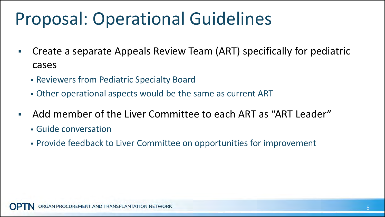## Proposal: Operational Guidelines

- Create a separate Appeals Review Team (ART) specifically for pediatric cases
	- Reviewers from Pediatric Specialty Board
	- Other operational aspects would be the same as current ART
- Add member of the Liver Committee to each ART as "ART Leader"
	- Guide conversation
	- Provide feedback to Liver Committee on opportunities for improvement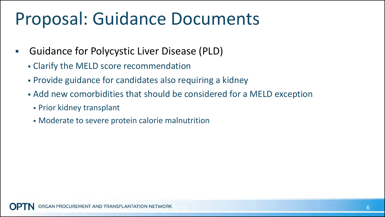### Proposal: Guidance Documents

- Guidance for Polycystic Liver Disease (PLD)
	- Clarify the MELD score recommendation
	- Provide guidance for candidates also requiring a kidney
	- Add new comorbidities that should be considered for a MELD exception
		- Prior kidney transplant
		- Moderate to severe protein calorie malnutrition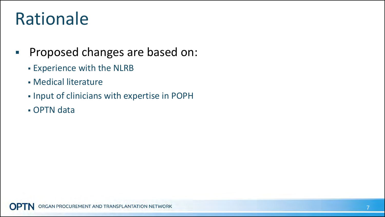# Rationale

- **Proposed changes are based on:** 
	- Experience with the NLRB
	- Medical literature
	- Input of clinicians with expertise in POPH
	- OPTN data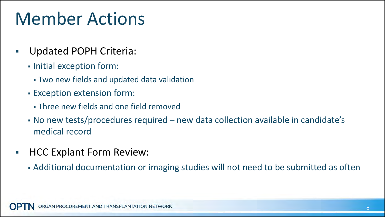# Member Actions

- Updated POPH Criteria:
	- **Initial exception form:** 
		- Two new fields and updated data validation
	- Exception extension form:
		- Three new fields and one field removed
	- No new tests/procedures required new data collection available in candidate's medical record
- **HCC Explant Form Review:** 
	- Additional documentation or imaging studies will not need to be submitted as often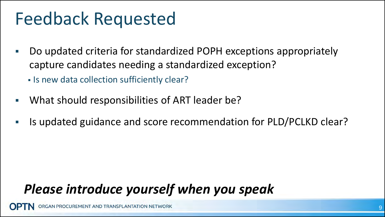### Feedback Requested

- Do updated criteria for standardized POPH exceptions appropriately capture candidates needing a standardized exception?
	- **Is new data collection sufficiently clear?**
- What should responsibilities of ART leader be?
- Is updated guidance and score recommendation for PLD/PCLKD clear?

#### *Please introduce yourself when you speak*